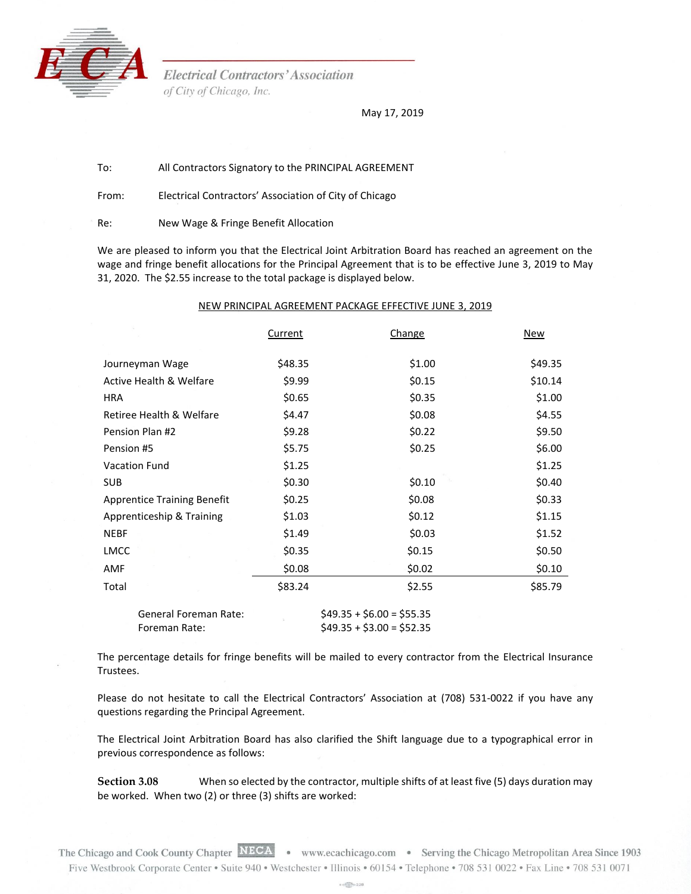

Trustees.

**Electrical Contractors' Association** of City of Chicago, Inc.

May 17, 2019

To: All Contractors Signatory to the PRINCIPAL AGREEMENT

From: Electrical Contractors' Association of City of Chicago

Re: New Wage & Fringe Benefit Allocation

We are pleased to inform you that the Electrical Joint Arbitration Board has reached an agreement on the wage and fringe benefit allocations for the Principal Agreement that is to be effective June 3, 2019 to May 31, 2020. The \$2.55 increase to the total package is displayed below.

## NEW PRINCIPAL AGREEMENT PACKAGE EFFECTIVE JUNE 3, 2019

|                                    | <b>Current</b> | Change                    | <b>New</b> |
|------------------------------------|----------------|---------------------------|------------|
|                                    |                |                           |            |
| Journeyman Wage                    | \$48.35        | \$1.00                    | \$49.35    |
| <b>Active Health &amp; Welfare</b> | \$9.99         | \$0.15                    | \$10.14    |
| HRA                                | \$0.65         | \$0.35                    | \$1.00     |
| Retiree Health & Welfare           | \$4.47         | \$0.08                    | \$4.55     |
| Pension Plan #2                    | \$9.28         | \$0.22                    | \$9.50     |
| Pension #5                         | \$5.75         | \$0.25                    | \$6.00     |
| <b>Vacation Fund</b>               | \$1.25         |                           | \$1.25     |
| <b>SUB</b>                         | \$0.30         | \$0.10                    | \$0.40     |
| <b>Apprentice Training Benefit</b> | \$0.25         | \$0.08                    | \$0.33     |
| Apprenticeship & Training          | \$1.03         | \$0.12                    | \$1.15     |
| <b>NEBF</b>                        | \$1.49         | \$0.03                    | \$1.52     |
| <b>LMCC</b>                        | \$0.35         | \$0.15                    | \$0.50     |
| AMF                                | \$0.08         | \$0.02                    | \$0.10     |
| Total                              | \$83.24        | \$2.55                    | \$85.79    |
| <b>General Foreman Rate:</b>       |                | $$49.35 + $6.00 = $55.35$ |            |

The percentage details for fringe benefits will be mailed to every contractor from the Electrical Insurance

Foreman Rate:  $$49.35 + $3.00 = $52.35$ 

Please do not hesitate to call the Electrical Contractors' Association at (708) 531-0022 if you have any questions regarding the Principal Agreement.

The Electrical Joint Arbitration Board has also clarified the Shift language due to a typographical error in previous correspondence as follows:

**Section 3.08** When so elected by the contractor, multiple shifts of at least five (5) days duration may be worked. When two (2) or three (3) shifts are worked:

 $+6\sqrt{25} = 228$